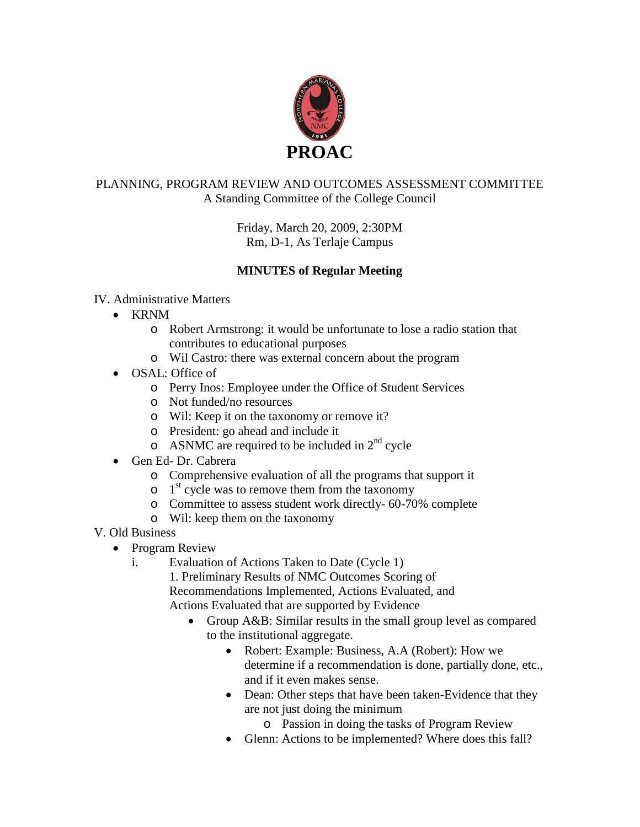

## PLANNING, PROGRAM REVIEW AND OUTCOMES ASSESSMENT COMMITTEE A Standing Committee of the College Council

Friday, March 20, 2009, 2:30PM Rm, D-1, As Terlaje Campus

# **MINUTES of Regular Meeting**

### IV. Administrative Matters

- KRNM
	- o Robert Armstrong: it would be unfortunate to lose a radio station that contributes to educational purposes
	- o Wil Castro: there was external concern about the program
- OSAL: Office of
	- o Perry Inos: Employee under the Office of Student Services
	- o Not funded/no resources
	- o Wil: Keep it on the taxonomy or remove it?
	- o President: go ahead and include it
	- $\circ$  ASNMC are required to be included in  $2<sup>nd</sup>$  cycle
- Gen Ed- Dr. Cabrera
	- o Comprehensive evaluation of all the programs that support it
	- $\circ$  1<sup>st</sup> cycle was to remove them from the taxonomy
	- o Committee to assess student work directly- 60-70% complete
	- o Wil: keep them on the taxonomy
- V. Old Business
	- Program Review
		- i. Evaluation of Actions Taken to Date (Cycle 1)
			- 1. Preliminary Results of NMC Outcomes Scoring of
			- Recommendations Implemented, Actions Evaluated, and
			- Actions Evaluated that are supported by Evidence
				- Group A&B: Similar results in the small group level as compared to the institutional aggregate.
					- Robert: Example: Business, A.A (Robert): How we determine if a recommendation is done, partially done, etc., and if it even makes sense.
					- Dean: Other steps that have been taken-Evidence that they are not just doing the minimum
						- o Passion in doing the tasks of Program Review
					- Glenn: Actions to be implemented? Where does this fall?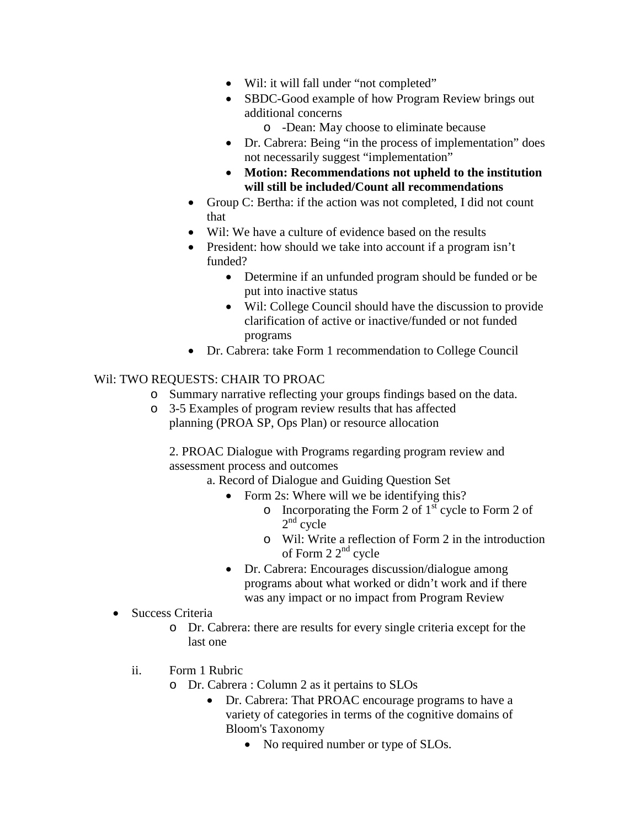- Wil: it will fall under "not completed"
- SBDC-Good example of how Program Review brings out additional concerns
	- o -Dean: May choose to eliminate because
- Dr. Cabrera: Being "in the process of implementation" does not necessarily suggest "implementation"
- **Motion: Recommendations not upheld to the institution will still be included/Count all recommendations**
- Group C: Bertha: if the action was not completed, I did not count that
- Wil: We have a culture of evidence based on the results
- President: how should we take into account if a program isn't funded?
	- Determine if an unfunded program should be funded or be put into inactive status
	- Wil: College Council should have the discussion to provide clarification of active or inactive/funded or not funded programs
- Dr. Cabrera: take Form 1 recommendation to College Council

### Wil: TWO REQUESTS: CHAIR TO PROAC

- o Summary narrative reflecting your groups findings based on the data.
- o 3-5 Examples of program review results that has affected planning (PROA SP, Ops Plan) or resource allocation

2. PROAC Dialogue with Programs regarding program review and assessment process and outcomes

- a. Record of Dialogue and Guiding Question Set
	- Form 2s: Where will we be identifying this?
		- $\circ$  Incorporating the Form 2 of 1<sup>st</sup> cycle to Form 2 of  $2<sup>nd</sup>$  cycle
		- o Wil: Write a reflection of Form 2 in the introduction of Form  $22^{nd}$  cycle
	- Dr. Cabrera: Encourages discussion/dialogue among programs about what worked or didn't work and if there was any impact or no impact from Program Review
- Success Criteria
	- o Dr. Cabrera: there are results for every single criteria except for the last one
	- ii. Form 1 Rubric
		- o Dr. Cabrera : Column 2 as it pertains to SLOs
			- Dr. Cabrera: That PROAC encourage programs to have a variety of categories in terms of the cognitive domains of Bloom's Taxonomy
				- No required number or type of SLOs.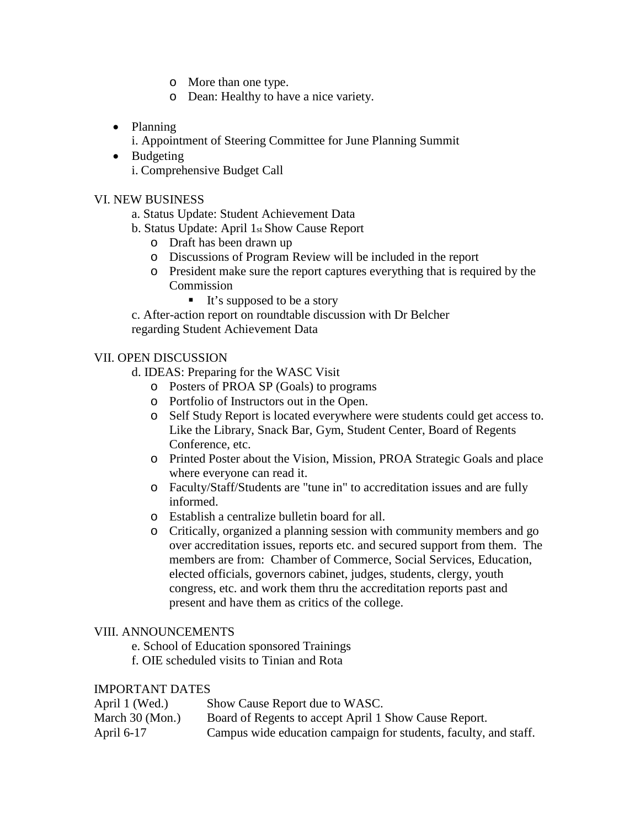- o More than one type.
- o Dean: Healthy to have a nice variety.
- Planning
	- i. Appointment of Steering Committee for June Planning Summit
- Budgeting i. Comprehensive Budget Call

#### VI. NEW BUSINESS

- a. Status Update: Student Achievement Data
- b. Status Update: April 1st Show Cause Report
	- o Draft has been drawn up
	- o Discussions of Program Review will be included in the report
	- o President make sure the report captures everything that is required by the Commission
		- $\blacksquare$  It's supposed to be a story

c. After-action report on roundtable discussion with Dr Belcher regarding Student Achievement Data

#### VII. OPEN DISCUSSION

- d. IDEAS: Preparing for the WASC Visit
	- o Posters of PROA SP (Goals) to programs
	- o Portfolio of Instructors out in the Open.
	- o Self Study Report is located everywhere were students could get access to. Like the Library, Snack Bar, Gym, Student Center, Board of Regents Conference, etc.
	- o Printed Poster about the Vision, Mission, PROA Strategic Goals and place where everyone can read it.
	- o Faculty/Staff/Students are "tune in" to accreditation issues and are fully informed.
	- o Establish a centralize bulletin board for all.
	- o Critically, organized a planning session with community members and go over accreditation issues, reports etc. and secured support from them. The members are from: Chamber of Commerce, Social Services, Education, elected officials, governors cabinet, judges, students, clergy, youth congress, etc. and work them thru the accreditation reports past and present and have them as critics of the college.

#### VIII. ANNOUNCEMENTS

- e. School of Education sponsored Trainings
- f. OIE scheduled visits to Tinian and Rota

#### IMPORTANT DATES

| April 1 (Wed.)  | Show Cause Report due to WASC.                                   |
|-----------------|------------------------------------------------------------------|
| March 30 (Mon.) | Board of Regents to accept April 1 Show Cause Report.            |
| April 6-17      | Campus wide education campaign for students, faculty, and staff. |